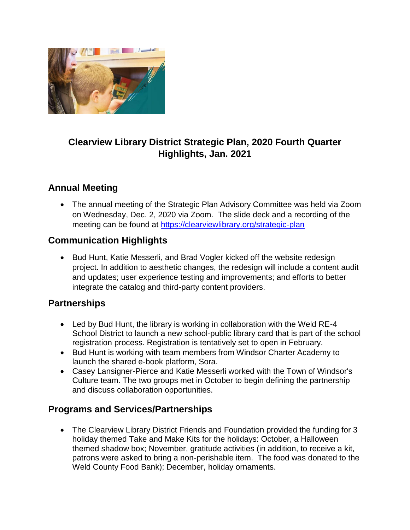

# **Clearview Library District Strategic Plan, 2020 Fourth Quarter Highlights, Jan. 2021**

## **Annual Meeting**

 The annual meeting of the Strategic Plan Advisory Committee was held via Zoom on Wednesday, Dec. 2, 2020 via Zoom. The slide deck and a recording of the meeting can be found at<https://clearviewlibrary.org/strategic-plan>

### **Communication Highlights**

• Bud Hunt, Katie Messerli, and Brad Vogler kicked off the website redesign project. In addition to aesthetic changes, the redesign will include a content audit and updates; user experience testing and improvements; and efforts to better integrate the catalog and third-party content providers.

#### **Partnerships**

- Led by Bud Hunt, the library is working in collaboration with the Weld RE-4 School District to launch a new school-public library card that is part of the school registration process. Registration is tentatively set to open in February.
- Bud Hunt is working with team members from Windsor Charter Academy to launch the shared e-book platform, Sora.
- Casey Lansigner-Pierce and Katie Messerli worked with the Town of Windsor's Culture team. The two groups met in October to begin defining the partnership and discuss collaboration opportunities.

#### **Programs and Services/Partnerships**

• The Clearview Library District Friends and Foundation provided the funding for 3 holiday themed Take and Make Kits for the holidays: October, a Halloween themed shadow box; November, gratitude activities (in addition, to receive a kit, patrons were asked to bring a non-perishable item. The food was donated to the Weld County Food Bank); December, holiday ornaments.